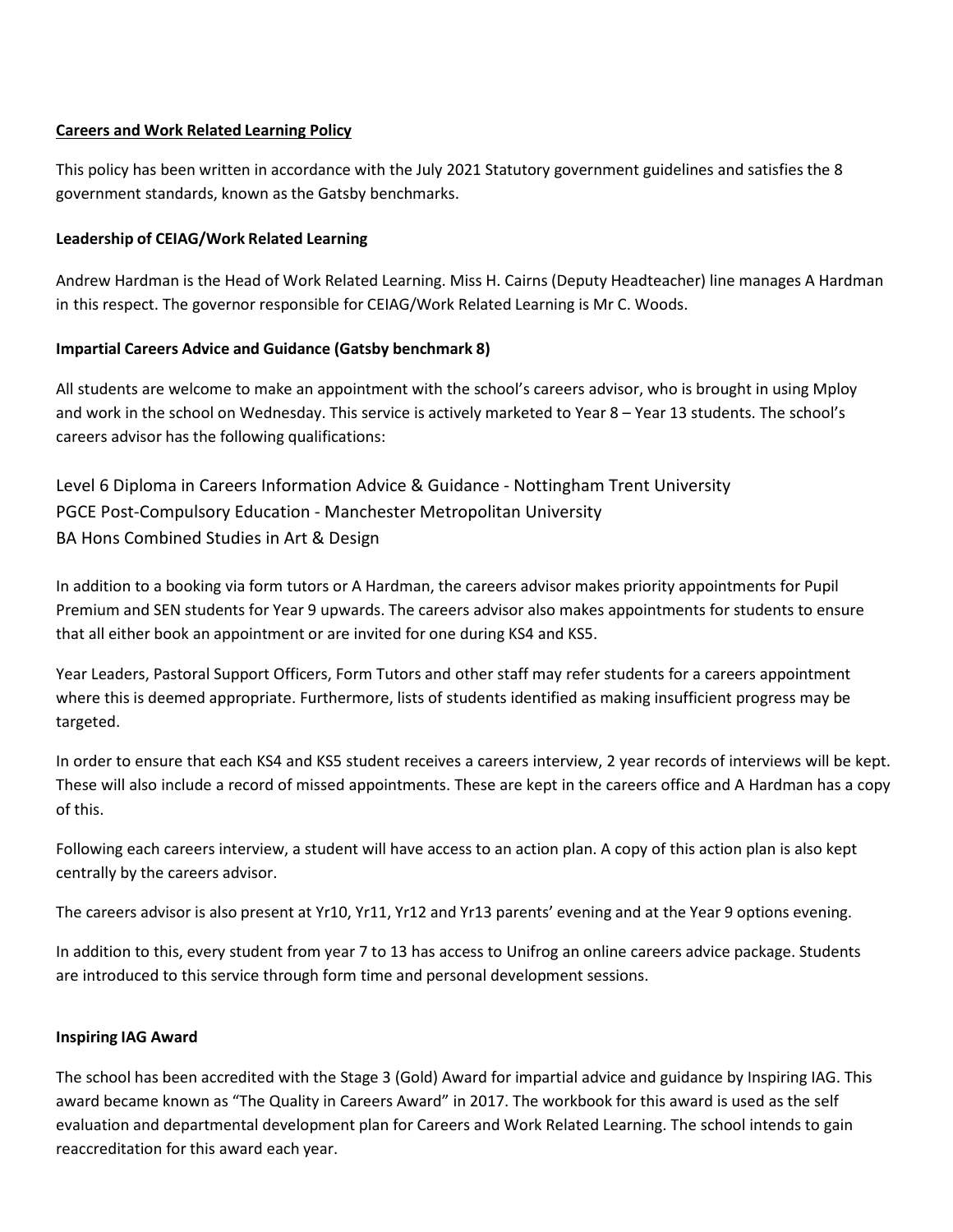### **Careers and Work Related Learning Policy**

This policy has been written in accordance with the July 2021 Statutory government guidelines and satisfies the 8 government standards, known as the Gatsby benchmarks.

### **Leadership of CEIAG/Work Related Learning**

Andrew Hardman is the Head of Work Related Learning. Miss H. Cairns (Deputy Headteacher) line manages A Hardman in this respect. The governor responsible for CEIAG/Work Related Learning is Mr C. Woods.

### **Impartial Careers Advice and Guidance (Gatsby benchmark 8)**

All students are welcome to make an appointment with the school's careers advisor, who is brought in using Mploy and work in the school on Wednesday. This service is actively marketed to Year 8 – Year 13 students. The school's careers advisor has the following qualifications:

Level 6 Diploma in Careers Information Advice & Guidance - Nottingham Trent University PGCE Post-Compulsory Education - Manchester Metropolitan University BA Hons Combined Studies in Art & Design

In addition to a booking via form tutors or A Hardman, the careers advisor makes priority appointments for Pupil Premium and SEN students for Year 9 upwards. The careers advisor also makes appointments for students to ensure that all either book an appointment or are invited for one during KS4 and KS5.

Year Leaders, Pastoral Support Officers, Form Tutors and other staff may refer students for a careers appointment where this is deemed appropriate. Furthermore, lists of students identified as making insufficient progress may be targeted.

In order to ensure that each KS4 and KS5 student receives a careers interview, 2 year records of interviews will be kept. These will also include a record of missed appointments. These are kept in the careers office and A Hardman has a copy of this.

Following each careers interview, a student will have access to an action plan. A copy of this action plan is also kept centrally by the careers advisor.

The careers advisor is also present at Yr10, Yr11, Yr12 and Yr13 parents' evening and at the Year 9 options evening.

In addition to this, every student from year 7 to 13 has access to Unifrog an online careers advice package. Students are introduced to this service through form time and personal development sessions.

### **Inspiring IAG Award**

The school has been accredited with the Stage 3 (Gold) Award for impartial advice and guidance by Inspiring IAG. This award became known as "The Quality in Careers Award" in 2017. The workbook for this award is used as the self evaluation and departmental development plan for Careers and Work Related Learning. The school intends to gain reaccreditation for this award each year.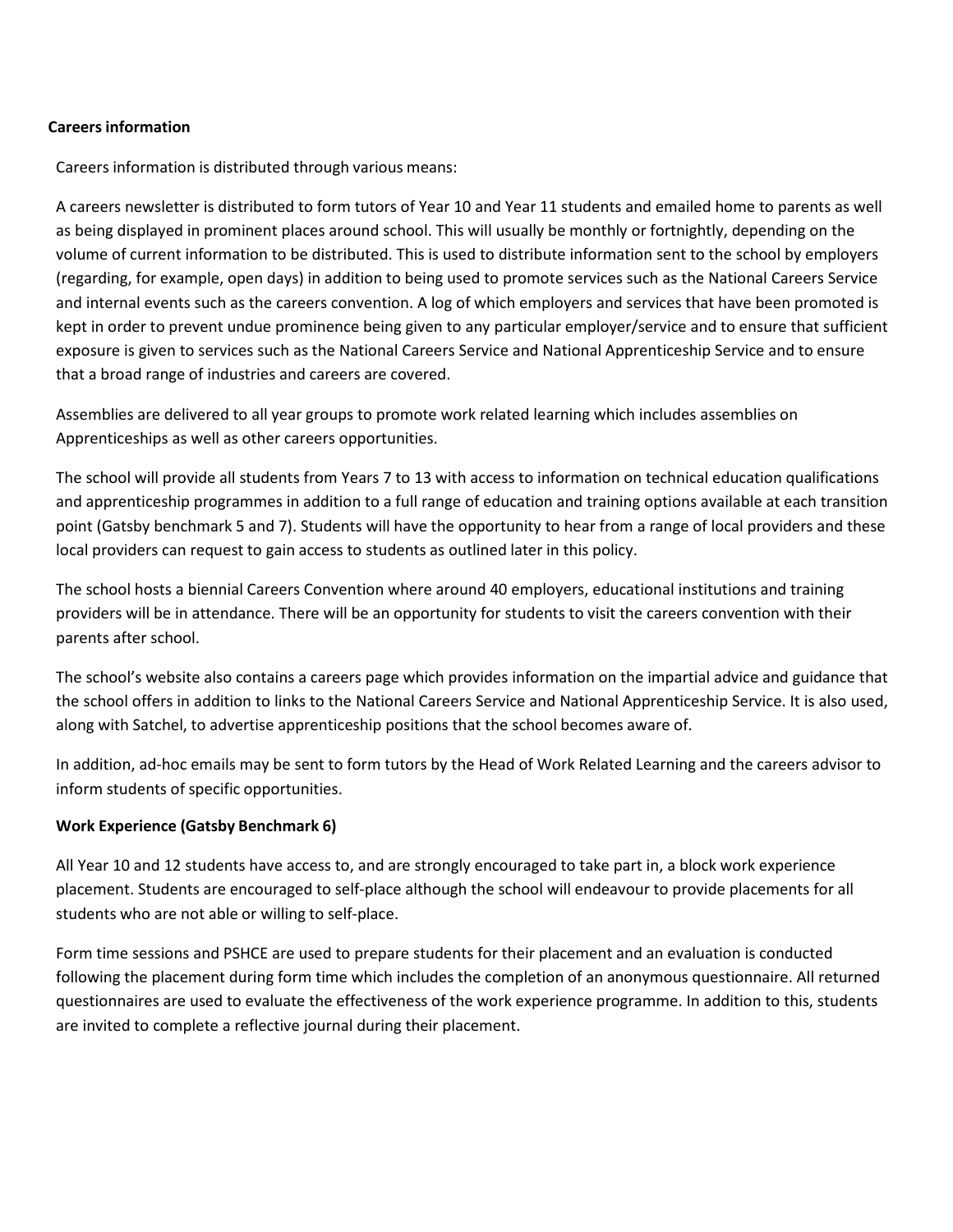### **Careersinformation**

Careers information is distributed through various means:

A careers newsletter is distributed to form tutors of Year 10 and Year 11 students and emailed home to parents as well as being displayed in prominent places around school. This will usually be monthly or fortnightly, depending on the volume of current information to be distributed. This is used to distribute information sent to the school by employers (regarding, for example, open days) in addition to being used to promote services such as the National Careers Service and internal events such as the careers convention. A log of which employers and services that have been promoted is kept in order to prevent undue prominence being given to any particular employer/service and to ensure that sufficient exposure is given to services such as the National Careers Service and National Apprenticeship Service and to ensure that a broad range of industries and careers are covered.

Assemblies are delivered to all year groups to promote work related learning which includes assemblies on Apprenticeships as well as other careers opportunities.

The school will provide all students from Years 7 to 13 with access to information on technical education qualifications and apprenticeship programmes in addition to a full range of education and training options available at each transition point (Gatsby benchmark 5 and 7). Students will have the opportunity to hear from a range of local providers and these local providers can request to gain access to students as outlined later in this policy.

The school hosts a biennial Careers Convention where around 40 employers, educational institutions and training providers will be in attendance. There will be an opportunity for students to visit the careers convention with their parents after school.

The school's website also contains a careers page which provides information on the impartial advice and guidance that the school offers in addition to links to the National Careers Service and National Apprenticeship Service. It is also used, along with Satchel, to advertise apprenticeship positions that the school becomes aware of.

In addition, ad-hoc emails may be sent to form tutors by the Head of Work Related Learning and the careers advisor to inform students of specific opportunities.

### **Work Experience (Gatsby Benchmark 6)**

All Year 10 and 12 students have access to, and are strongly encouraged to take part in, a block work experience placement. Students are encouraged to self-place although the school will endeavour to provide placements for all students who are not able or willing to self-place.

Form time sessions and PSHCE are used to prepare students for their placement and an evaluation is conducted following the placement during form time which includes the completion of an anonymous questionnaire. All returned questionnaires are used to evaluate the effectiveness of the work experience programme. In addition to this, students are invited to complete a reflective journal during their placement.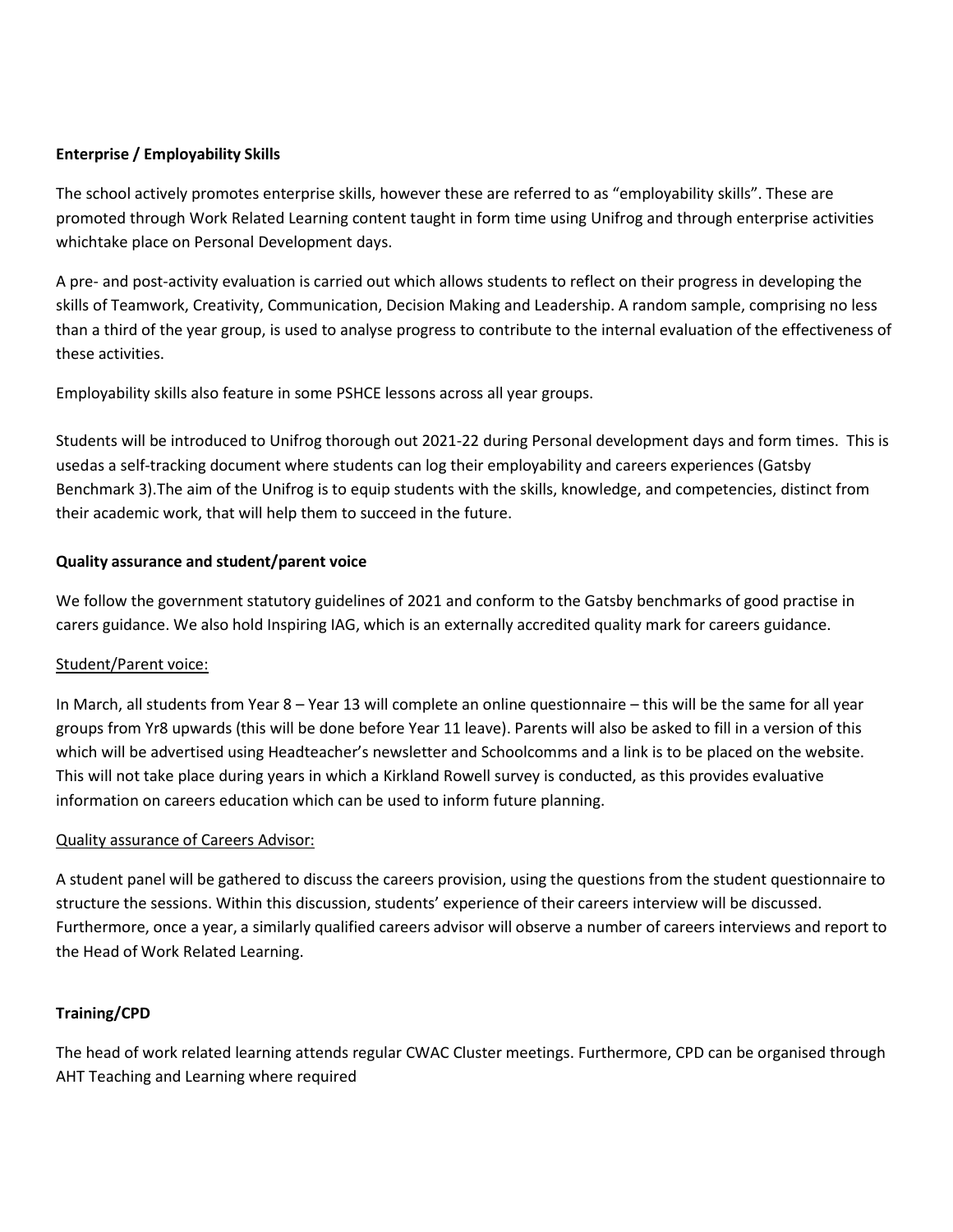### **Enterprise / Employability Skills**

The school actively promotes enterprise skills, however these are referred to as "employability skills". These are promoted through Work Related Learning content taught in form time using Unifrog and through enterprise activities whichtake place on Personal Development days.

A pre- and post-activity evaluation is carried out which allows students to reflect on their progress in developing the skills of Teamwork, Creativity, Communication, Decision Making and Leadership. A random sample, comprising no less than a third of the year group, is used to analyse progress to contribute to the internal evaluation of the effectiveness of these activities.

Employability skills also feature in some PSHCE lessons across all year groups.

Students will be introduced to Unifrog thorough out 2021-22 during Personal development days and form times. This is usedas a self-tracking document where students can log their employability and careers experiences (Gatsby Benchmark 3).The aim of the Unifrog is to equip students with the skills, knowledge, and competencies, distinct from their academic work, that will help them to succeed in the future.

### **Quality assurance and student/parent voice**

We follow the government statutory guidelines of 2021 and conform to the Gatsby benchmarks of good practise in carers guidance. We also hold Inspiring IAG, which is an externally accredited quality mark for careers guidance.

### Student/Parent voice:

In March, all students from Year 8 – Year 13 will complete an online questionnaire – this will be the same for all year groups from Yr8 upwards (this will be done before Year 11 leave). Parents will also be asked to fill in a version of this which will be advertised using Headteacher's newsletter and Schoolcomms and a link is to be placed on the website. This will not take place during years in which a Kirkland Rowell survey is conducted, as this provides evaluative information on careers education which can be used to inform future planning.

### Quality assurance of Careers Advisor:

A student panel will be gathered to discuss the careers provision, using the questions from the student questionnaire to structure the sessions. Within this discussion, students' experience of their careers interview will be discussed. Furthermore, once a year, a similarly qualified careers advisor will observe a number of careers interviews and report to the Head of Work Related Learning.

## **Training/CPD**

The head of work related learning attends regular CWAC Cluster meetings. Furthermore, CPD can be organised through AHT Teaching and Learning where required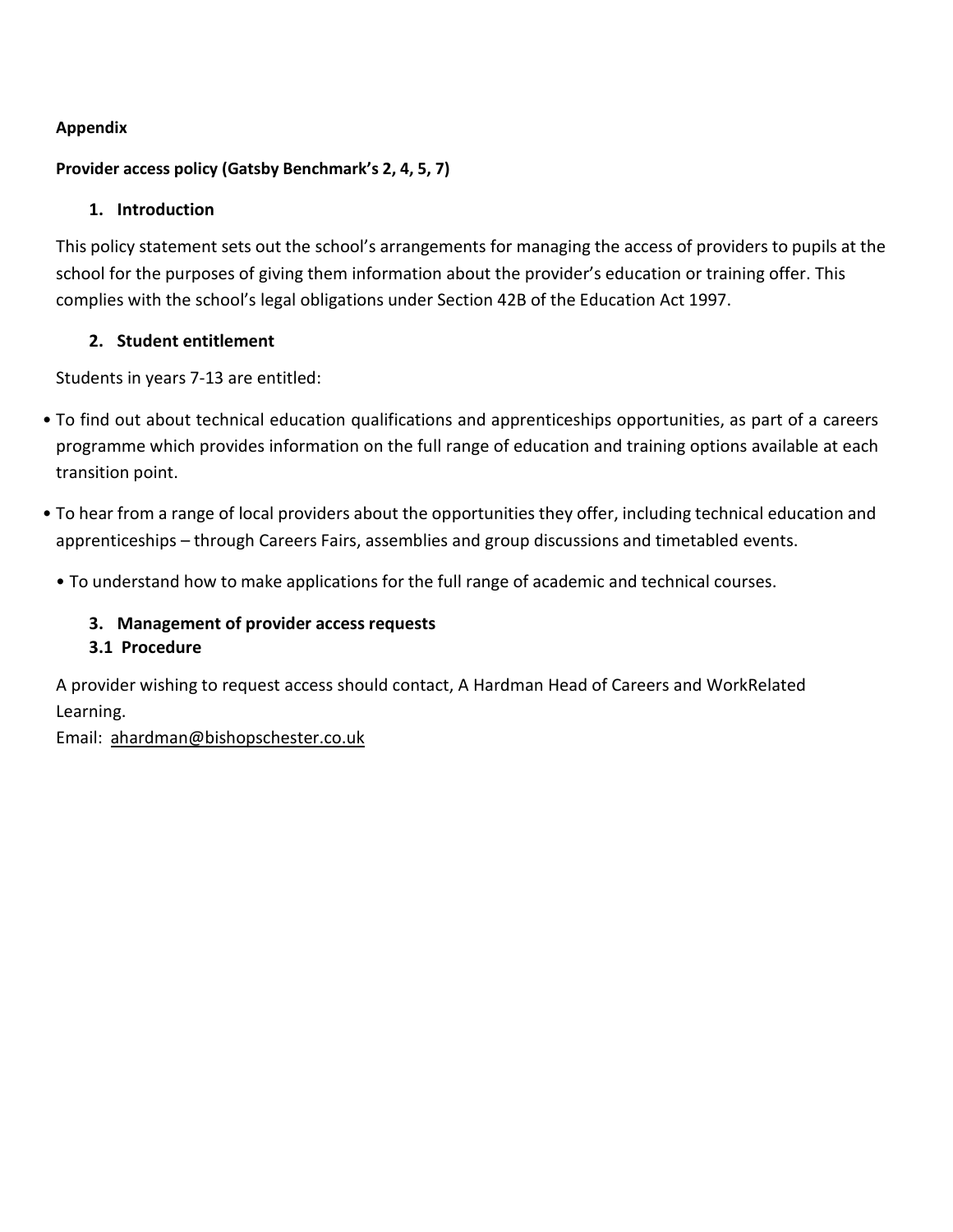## **Appendix**

## **Provider access policy (Gatsby Benchmark's 2, 4, 5, 7)**

## **1. Introduction**

This policy statement sets out the school's arrangements for managing the access of providers to pupils at the school for the purposes of giving them information about the provider's education or training offer. This complies with the school's legal obligations under Section 42B of the Education Act 1997.

## **2. Student entitlement**

Students in years 7-13 are entitled:

- To find out about technical education qualifications and apprenticeships opportunities, as part of a careers programme which provides information on the full range of education and training options available at each transition point.
- To hear from a range of local providers about the opportunities they offer, including technical education and apprenticeships – through Careers Fairs, assemblies and group discussions and timetabled events.
	- To understand how to make applications for the full range of academic and technical courses.

# **3. Management of provider access requests**

## **3.1 Procedure**

A provider wishing to request access should contact, A Hardman Head of Careers and WorkRelated Learning.

Email: [ahardman@bishopschester.co.uk](mailto:ahardman@bishopschester.co.uk)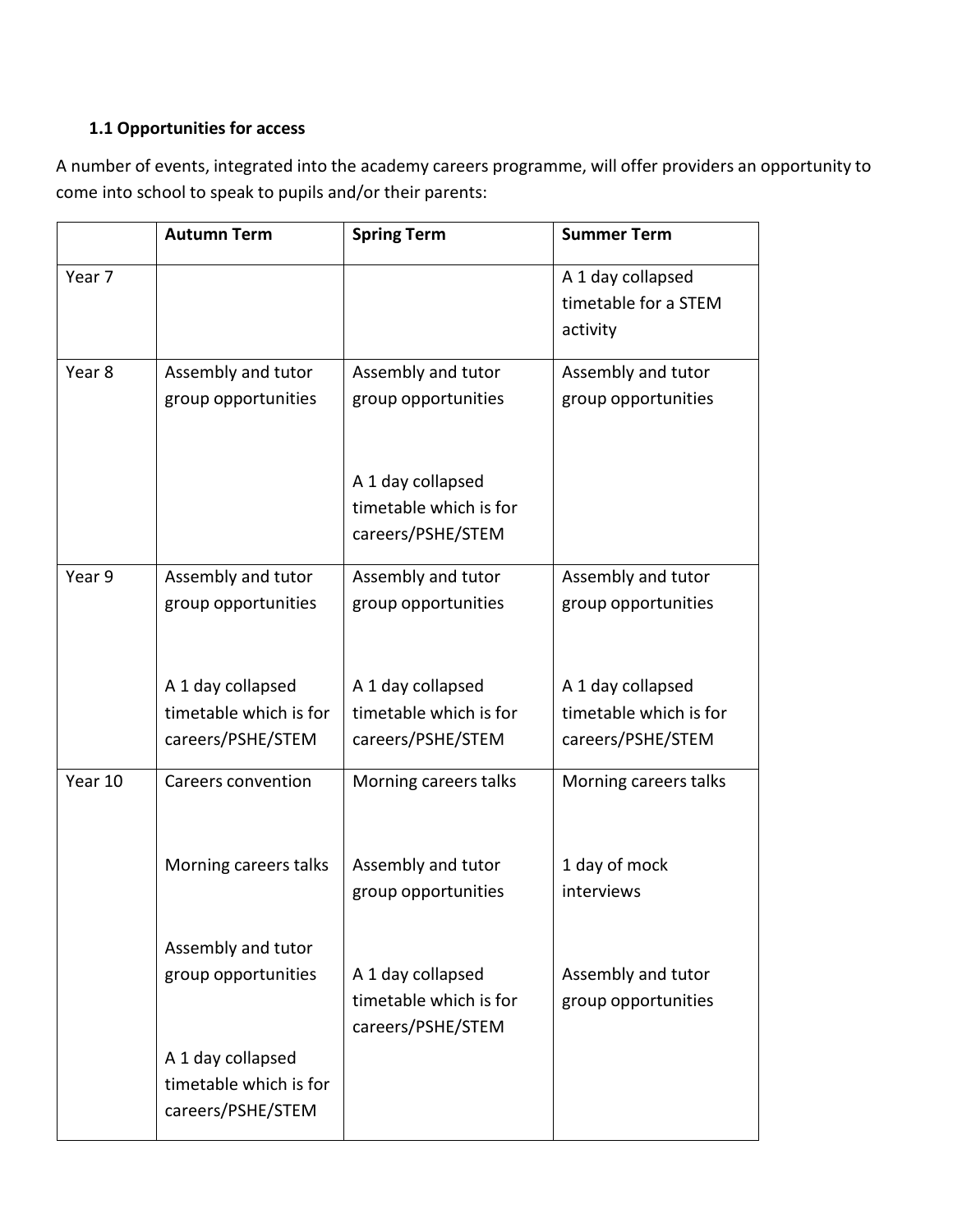# **1.1 Opportunities for access**

A number of events, integrated into the academy careers programme, will offer providers an opportunity to come into school to speak to pupils and/or their parents:

|                   | <b>Autumn Term</b>                        | <b>Spring Term</b>     | <b>Summer Term</b>     |
|-------------------|-------------------------------------------|------------------------|------------------------|
| Year <sub>7</sub> |                                           |                        | A 1 day collapsed      |
|                   |                                           |                        | timetable for a STEM   |
|                   |                                           |                        | activity               |
| Year 8            | Assembly and tutor                        | Assembly and tutor     | Assembly and tutor     |
|                   | group opportunities                       | group opportunities    | group opportunities    |
|                   |                                           |                        |                        |
|                   |                                           | A 1 day collapsed      |                        |
|                   |                                           | timetable which is for |                        |
|                   |                                           | careers/PSHE/STEM      |                        |
| Year 9            | Assembly and tutor                        | Assembly and tutor     | Assembly and tutor     |
|                   | group opportunities                       | group opportunities    | group opportunities    |
|                   |                                           |                        |                        |
|                   | A 1 day collapsed                         | A 1 day collapsed      | A 1 day collapsed      |
|                   | timetable which is for                    | timetable which is for | timetable which is for |
|                   | careers/PSHE/STEM                         | careers/PSHE/STEM      | careers/PSHE/STEM      |
| Year 10           | <b>Careers convention</b>                 | Morning careers talks  | Morning careers talks  |
|                   |                                           |                        |                        |
|                   | Morning careers talks                     | Assembly and tutor     | 1 day of mock          |
|                   |                                           | group opportunities    | interviews             |
|                   |                                           |                        |                        |
|                   | Assembly and tutor<br>group opportunities | A 1 day collapsed      | Assembly and tutor     |
|                   |                                           | timetable which is for | group opportunities    |
|                   |                                           | careers/PSHE/STEM      |                        |
|                   | A 1 day collapsed                         |                        |                        |
|                   | timetable which is for                    |                        |                        |
|                   | careers/PSHE/STEM                         |                        |                        |
|                   |                                           |                        |                        |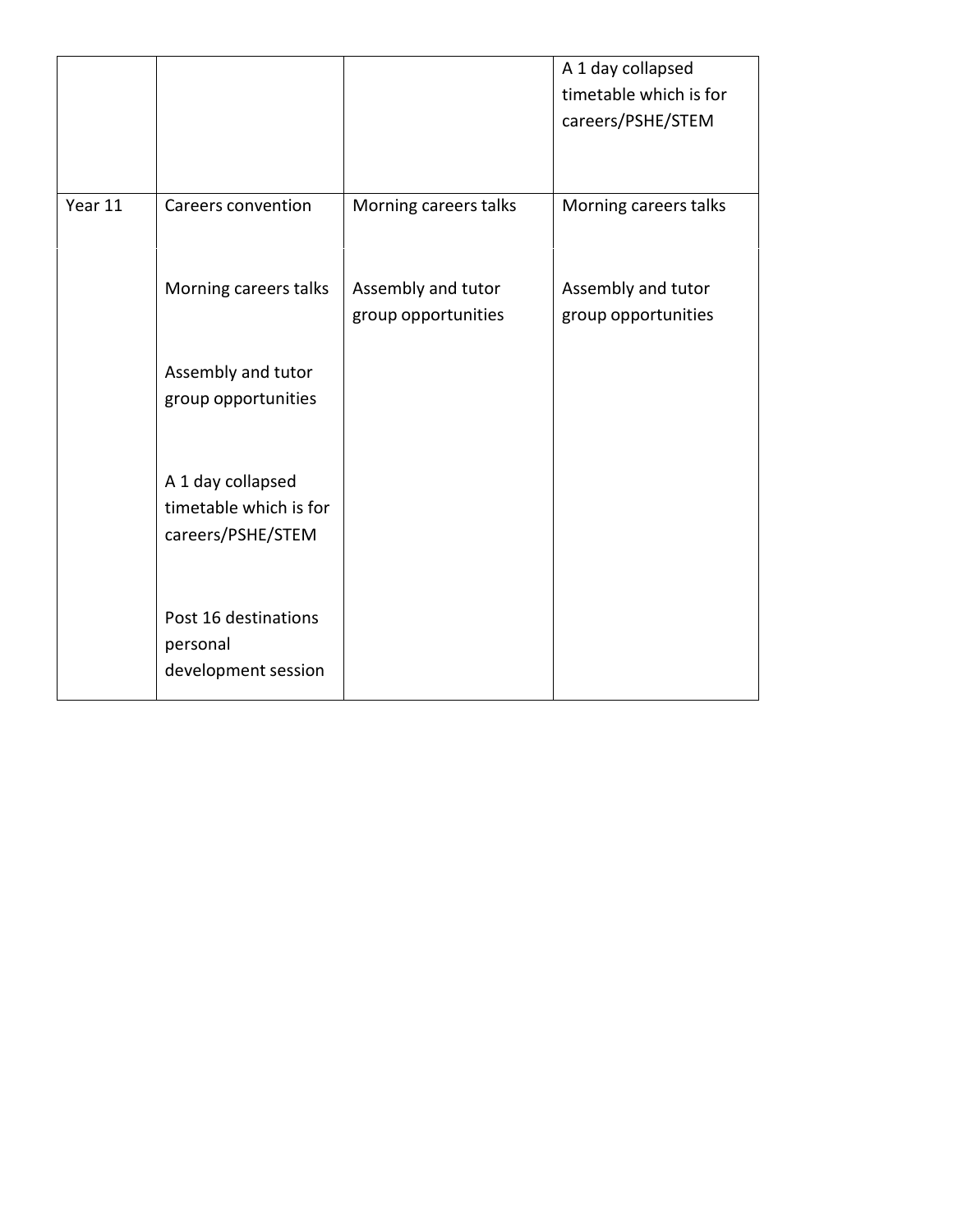|         |                                                                  |                                           | A 1 day collapsed<br>timetable which is for<br>careers/PSHE/STEM |
|---------|------------------------------------------------------------------|-------------------------------------------|------------------------------------------------------------------|
| Year 11 | Careers convention                                               | Morning careers talks                     | Morning careers talks                                            |
|         | Morning careers talks                                            | Assembly and tutor<br>group opportunities | Assembly and tutor<br>group opportunities                        |
|         | Assembly and tutor<br>group opportunities                        |                                           |                                                                  |
|         | A 1 day collapsed<br>timetable which is for<br>careers/PSHE/STEM |                                           |                                                                  |
|         | Post 16 destinations<br>personal<br>development session          |                                           |                                                                  |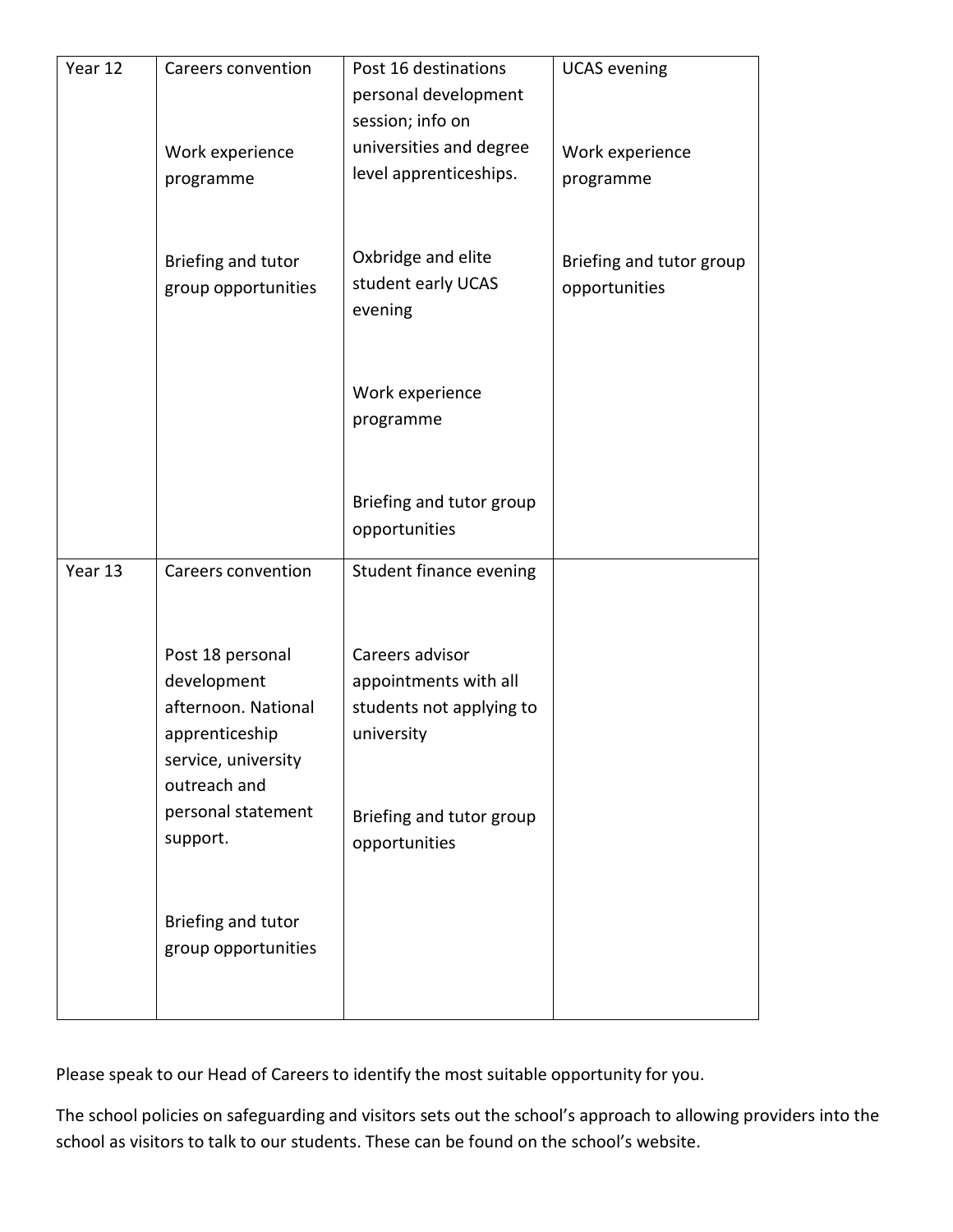| Year 12 | Careers convention  | Post 16 destinations          | <b>UCAS</b> evening      |
|---------|---------------------|-------------------------------|--------------------------|
|         |                     | personal development          |                          |
|         |                     | session; info on              |                          |
|         | Work experience     | universities and degree       | Work experience          |
|         | programme           | level apprenticeships.        | programme                |
|         |                     |                               |                          |
|         |                     |                               |                          |
|         | Briefing and tutor  | Oxbridge and elite            | Briefing and tutor group |
|         | group opportunities | student early UCAS<br>evening | opportunities            |
|         |                     |                               |                          |
|         |                     |                               |                          |
|         |                     | Work experience               |                          |
|         |                     | programme                     |                          |
|         |                     |                               |                          |
|         |                     |                               |                          |
|         |                     | Briefing and tutor group      |                          |
|         |                     | opportunities                 |                          |
| Year 13 | Careers convention  | Student finance evening       |                          |
|         |                     |                               |                          |
|         |                     |                               |                          |
|         | Post 18 personal    | Careers advisor               |                          |
|         | development         | appointments with all         |                          |
|         | afternoon. National | students not applying to      |                          |
|         | apprenticeship      | university                    |                          |
|         | service, university |                               |                          |
|         | outreach and        |                               |                          |
|         | personal statement  | Briefing and tutor group      |                          |
|         | support.            | opportunities                 |                          |
|         |                     |                               |                          |
|         | Briefing and tutor  |                               |                          |
|         | group opportunities |                               |                          |
|         |                     |                               |                          |
|         |                     |                               |                          |

Please speak to our Head of Careers to identify the most suitable opportunity for you.

The school policies on safeguarding and visitors sets out the school's approach to allowing providers into the school as visitors to talk to our students. These can be found on the school's website.